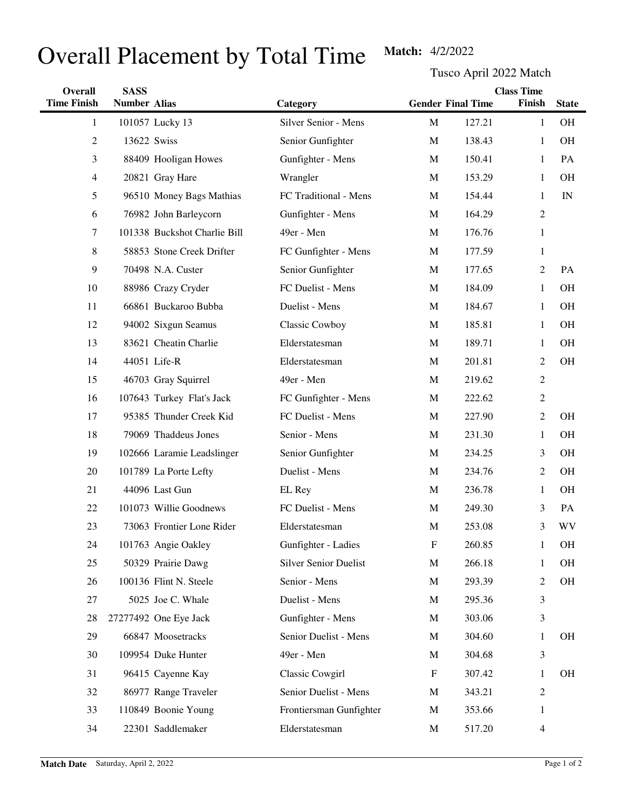## Overall Placement by Total Time Match: 4/2/2022

Tusco April 2022 Match

| Overall            | <b>SASS</b>         |                              | <b>Class Time</b>            |                           |                          |                |              |
|--------------------|---------------------|------------------------------|------------------------------|---------------------------|--------------------------|----------------|--------------|
| <b>Time Finish</b> | <b>Number Alias</b> |                              | Category                     |                           | <b>Gender Final Time</b> | Finish         | <b>State</b> |
| 1                  |                     | 101057 Lucky 13              | Silver Senior - Mens         | $\mathbf M$               | 127.21                   | $\mathbf{1}$   | <b>OH</b>    |
| 2                  |                     | 13622 Swiss                  | Senior Gunfighter            | M                         | 138.43                   | 1              | <b>OH</b>    |
| 3                  |                     | 88409 Hooligan Howes         | Gunfighter - Mens            | M                         | 150.41                   | 1              | PA           |
| 4                  |                     | 20821 Gray Hare              | Wrangler                     | $\mathbf M$               | 153.29                   | 1              | <b>OH</b>    |
| 5                  |                     | 96510 Money Bags Mathias     | FC Traditional - Mens        | M                         | 154.44                   | 1              | IN           |
| 6                  |                     | 76982 John Barleycorn        | Gunfighter - Mens            | M                         | 164.29                   | $\overline{2}$ |              |
| 7                  |                     | 101338 Buckshot Charlie Bill | 49er - Men                   | $\mathbf M$               | 176.76                   | $\mathbf{1}$   |              |
| 8                  |                     | 58853 Stone Creek Drifter    | FC Gunfighter - Mens         | M                         | 177.59                   | $\mathbf{1}$   |              |
| 9                  |                     | 70498 N.A. Custer            | Senior Gunfighter            | $\mathbf{M}$              | 177.65                   | $\overline{c}$ | PA           |
| 10                 |                     | 88986 Crazy Cryder           | FC Duelist - Mens            | M                         | 184.09                   | 1              | <b>OH</b>    |
| 11                 |                     | 66861 Buckaroo Bubba         | Duelist - Mens               | M                         | 184.67                   | 1              | <b>OH</b>    |
| 12                 |                     | 94002 Sixgun Seamus          | <b>Classic Cowboy</b>        | M                         | 185.81                   | $\mathbf{1}$   | <b>OH</b>    |
| 13                 |                     | 83621 Cheatin Charlie        | Elderstatesman               | M                         | 189.71                   | 1              | <b>OH</b>    |
| 14                 |                     | 44051 Life-R                 | Elderstatesman               | M                         | 201.81                   | 2              | OH           |
| 15                 |                     | 46703 Gray Squirrel          | 49er - Men                   | M                         | 219.62                   | $\overline{c}$ |              |
| 16                 |                     | 107643 Turkey Flat's Jack    | FC Gunfighter - Mens         | M                         | 222.62                   | $\overline{c}$ |              |
| 17                 |                     | 95385 Thunder Creek Kid      | FC Duelist - Mens            | M                         | 227.90                   | $\overline{c}$ | <b>OH</b>    |
| 18                 |                     | 79069 Thaddeus Jones         | Senior - Mens                | M                         | 231.30                   | 1              | <b>OH</b>    |
| 19                 |                     | 102666 Laramie Leadslinger   | Senior Gunfighter            | M                         | 234.25                   | 3              | <b>OH</b>    |
| 20                 |                     | 101789 La Porte Lefty        | Duelist - Mens               | M                         | 234.76                   | $\overline{c}$ | <b>OH</b>    |
| 21                 |                     | 44096 Last Gun               | EL Rey                       | M                         | 236.78                   | 1              | <b>OH</b>    |
| 22                 |                     | 101073 Willie Goodnews       | FC Duelist - Mens            | M                         | 249.30                   | 3              | PA           |
| 23                 |                     | 73063 Frontier Lone Rider    | Elderstatesman               | $\mathbf M$               | 253.08                   | 3              | WV           |
| 24                 |                     | 101763 Angie Oakley          | Gunfighter - Ladies          | $\boldsymbol{\mathrm{F}}$ | 260.85                   | 1              | <b>OH</b>    |
| 25                 |                     | 50329 Prairie Dawg           | <b>Silver Senior Duelist</b> | $\mathbf M$               | 266.18                   | 1              | OH           |
| 26                 |                     | 100136 Flint N. Steele       | Senior - Mens                | M                         | 293.39                   | 2              | OH           |
| 27                 |                     | 5025 Joe C. Whale            | Duelist - Mens               | M                         | 295.36                   | 3              |              |
| 28                 |                     | 27277492 One Eye Jack        | Gunfighter - Mens            | M                         | 303.06                   | 3              |              |
| 29                 |                     | 66847 Moosetracks            | Senior Duelist - Mens        | M                         | 304.60                   | 1              | <b>OH</b>    |
| 30                 |                     | 109954 Duke Hunter           | 49er - Men                   | M                         | 304.68                   | 3              |              |
| 31                 |                     | 96415 Cayenne Kay            | Classic Cowgirl              | F                         | 307.42                   | 1              | <b>OH</b>    |
| 32                 |                     | 86977 Range Traveler         | Senior Duelist - Mens        | M                         | 343.21                   | $\overline{c}$ |              |
| 33                 |                     | 110849 Boonie Young          | Frontiersman Gunfighter      | M                         | 353.66                   | 1              |              |
| 34                 |                     | 22301 Saddlemaker            | Elderstatesman               | M                         | 517.20                   | 4              |              |